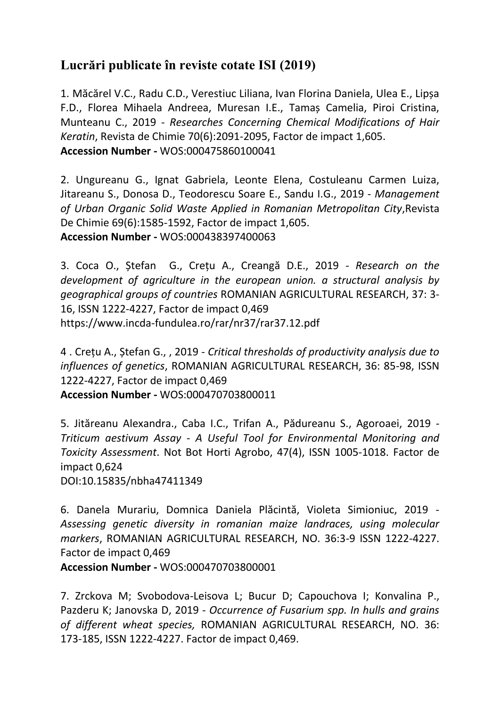## **Lucrări publicate în reviste cotate ISI (2019)**

1. Măcărel V.C., Radu C.D., Verestiuc Liliana, Ivan Florina Daniela, Ulea E., Lipșa F.D., Florea Mihaela Andreea, Muresan I.E., Tamaș Camelia, Piroi Cristina, Munteanu C., 2019 - *Researches Concerning Chemical Modifications of Hair Keratin*, Revista de Chimie 70(6):2091-2095, Factor de impact 1,605. **Accession Number -** WOS:000475860100041

2. Ungureanu G., Ignat Gabriela, Leonte Elena, Costuleanu Carmen Luiza, Jitareanu S., Donosa D., Teodorescu Soare E., Sandu I.G., 2019 - *Management of Urban Organic Solid Waste Applied in Romanian Metropolitan City*,Revista De Chimie 69(6):1585-1592, Factor de impact 1,605. **Accession Number -** WOS:000438397400063

3. Coca O., Ștefan G., Crețu A., Creangă D.E., 2019 - *Research on the development of agriculture in the european union. a structural analysis by geographical groups of countries* ROMANIAN AGRICULTURAL RESEARCH, 37: 3- 16, ISSN 1222-4227, Factor de impact 0,469 <https://www.incda-fundulea.ro/rar/nr37/rar37.12.pdf>

4 . Crețu A., Ștefan G., , 2019 - *Critical thresholds of productivity analysis due to influences of genetics*, ROMANIAN AGRICULTURAL RESEARCH, 36: 85-98, ISSN 1222-4227, Factor de impact 0,469

**Accession Number -** WOS:000470703800011

5. Jităreanu Alexandra., Caba I.C., Trifan A., Pădureanu S., Agoroaei, 2019 *- Triticum aestivum Assay - A Useful Tool for Environmental Monitoring and Toxicity Assessment*. Not Bot Horti Agrobo, 47(4), ISSN 1005-1018. Factor de impact 0,624

DOI:10.15835/nbha47411349

6. Danela Murariu, Domnica Daniela Plăcintă, Violeta Simioniuc, 2019 - *Assessing genetic diversity in romanian maize landraces, using molecular markers*, ROMANIAN AGRICULTURAL RESEARCH, NO. 36:3-9 ISSN 1222-4227. Factor de impact 0,469

**Accession Number -** WOS:000470703800001

7. [Zrckova M;](https://apps.webofknowledge.com/OutboundService.do?SID=F1YKg5QgXqa1RcgYQzs&mode=rrcAuthorRecordService&action=go&product=WOS&daisIds=9350419) [Svobodova-Leisova L;](https://apps.webofknowledge.com/OutboundService.do?SID=F1YKg5QgXqa1RcgYQzs&mode=rrcAuthorRecordService&action=go&product=WOS&daisIds=13433651) [Bucur D;](https://apps.webofknowledge.com/OutboundService.do?SID=F1YKg5QgXqa1RcgYQzs&mode=rrcAuthorRecordService&action=go&product=WOS&daisIds=4896019) [Capouchova I;](https://apps.webofknowledge.com/OutboundService.do?SID=F1YKg5QgXqa1RcgYQzs&mode=rrcAuthorRecordService&action=go&product=WOS&daisIds=897534) [Konvalina P.](https://apps.webofknowledge.com/OutboundService.do?SID=F1YKg5QgXqa1RcgYQzs&mode=rrcAuthorRecordService&action=go&product=WOS&daisIds=1127935), [Pazderu K;](https://apps.webofknowledge.com/OutboundService.do?SID=F1YKg5QgXqa1RcgYQzs&mode=rrcAuthorRecordService&action=go&product=WOS&daisIds=1287082) [Janovska D,](https://apps.webofknowledge.com/OutboundService.do?SID=F1YKg5QgXqa1RcgYQzs&mode=rrcAuthorRecordService&action=go&product=WOS&daisIds=1355318) 2019 - *Occurrence of Fusarium spp. In hulls and grains of different wheat species,* ROMANIAN AGRICULTURAL RESEARCH, NO. 36: 173-185, ISSN 1222-4227. Factor de impact 0,469.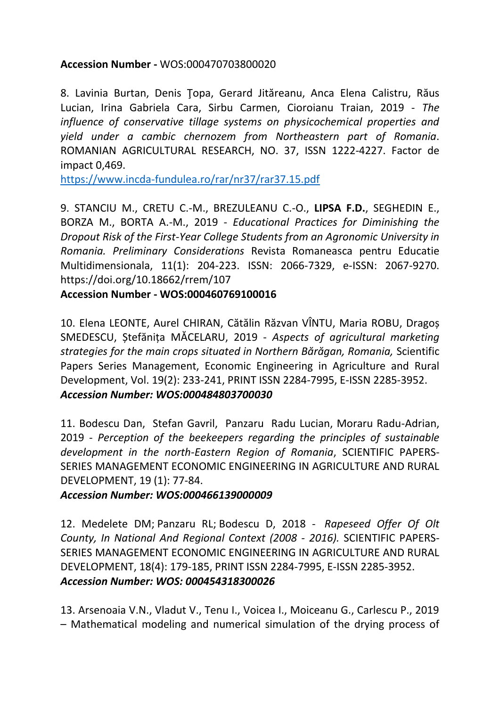## **Accession Number -** WOS:000470703800020

8. Lavinia Burtan, Denis Ţopa, Gerard Jităreanu, Anca Elena Calistru, Răus Lucian, Irina Gabriela Cara, Sirbu Carmen, Cioroianu Traian, 2019 - *The influence of conservative tillage systems on physicochemical properties and yield under a cambic chernozem from Northeastern part of Romania*. ROMANIAN AGRICULTURAL RESEARCH, NO. 37, ISSN 1222-4227. Factor de impact 0,469.

<https://www.incda-fundulea.ro/rar/nr37/rar37.15.pdf>

9. STANCIU M., CRETU C.-M., BREZULEANU C.-O., **LIPSA F.D.**, SEGHEDIN E., BORZA M., BORTA A.-M., 2019 - *Educational Practices for Diminishing the Dropout Risk of the First-Year College Students from an Agronomic University in Romania. Preliminary Considerations* Revista Romaneasca pentru Educatie Multidimensionala, 11(1): 204-223. ISSN: 2066-7329, e-ISSN: 2067-9270. https://doi.org/10.18662/rrem/107

## **Accession Number - WOS:000460769100016**

10. Elena LEONTE, Aurel CHIRAN, [Cătălin Răzvan VÎNT](https://www.facebook.com/Catalin.razvan.vintu?__tn__=%2CdlC-R-R&eid=ARB-MUc-NayPx2_Wo6qvs-V1y-EnNdI0EbefdQ4t-MhEoPlyLQD7oSeTJzCWlk-6ccnsxy-Y503-xiBP&hc_ref=ART7MxJDFC1OKxUkCt3NK2Bn9ZWtADGH9s_DoR76-QttkEYY49yBs7Du2CyrlJ3lpn0)U, Maria ROBU, Dragoș SMEDESCU, Ștefănița MĂCELARU, 2019 - *Aspects of agricultural marketing strategies for the main crops situated in Northern Bărăgan, Romania,* Scientific Papers Series Management, Economic Engineering in Agriculture and Rural Development, Vol. 19(2): 233-241, PRINT ISSN 2284-7995, E-ISSN 2285-3952. *Accession Number: WOS:000484803700030*

11. Bodescu Dan, Stefan Gavril, Panzaru Radu Lucian, Moraru Radu-Adrian, 2019 - *Perception of the beekeepers regarding the principles of sustainable development in the north-Eastern Region of Romania*, SCIENTIFIC PAPERS-SERIES MANAGEMENT ECONOMIC ENGINEERING IN AGRICULTURE AND RURAL DEVELOPMENT, 19 (1): 77-84.

## *Accession Number: WOS:000466139000009*

12. [Medelete DM;](https://apps.webofknowledge.com/OutboundService.do?SID=C3kXerWrdEPYj8Xn5Ce&mode=rrcAuthorRecordService&action=go&product=WOS&daisIds=1047256) [Panzaru RL;](https://apps.webofknowledge.com/OutboundService.do?SID=C3kXerWrdEPYj8Xn5Ce&mode=rrcAuthorRecordService&action=go&product=WOS&daisIds=999056) [Bodescu D,](https://apps.webofknowledge.com/OutboundService.do?SID=C3kXerWrdEPYj8Xn5Ce&mode=rrcAuthorRecordService&action=go&product=WOS&daisIds=4034636) 2018 - *Rapeseed Offer Of Olt County, In National And Regional Context (2008 - 2016).* SCIENTIFIC PAPERS-SERIES MANAGEMENT ECONOMIC ENGINEERING IN AGRICULTURE AND RURAL DEVELOPMENT, 18(4): 179-185, PRINT ISSN 2284-7995, E-ISSN 2285-3952. *Accession Number: WOS: 000454318300026*

13. Arsenoaia V.N., Vladut V., Tenu I., Voicea I., Moiceanu G., Carlescu P., 2019 – Mathematical modeling and numerical simulation of the drying process of